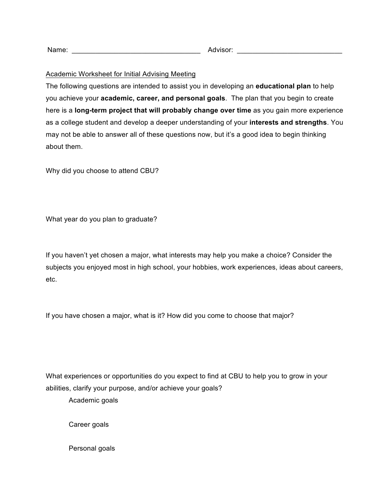| Name: |  | Advisor: |  |
|-------|--|----------|--|
|-------|--|----------|--|

## Academic Worksheet for Initial Advising Meeting

The following questions are intended to assist you in developing an **educational plan** to help you achieve your **academic, career, and personal goals**. The plan that you begin to create here is a **long-term project that will probably change over time** as you gain more experience as a college student and develop a deeper understanding of your **interests and strengths**. You may not be able to answer all of these questions now, but it's a good idea to begin thinking about them.

Why did you choose to attend CBU?

What year do you plan to graduate?

If you haven't yet chosen a major, what interests may help you make a choice? Consider the subjects you enjoyed most in high school, your hobbies, work experiences, ideas about careers, etc.

If you have chosen a major, what is it? How did you come to choose that major?

What experiences or opportunities do you expect to find at CBU to help you to grow in your abilities, clarify your purpose, and/or achieve your goals?

Academic goals

Career goals

Personal goals